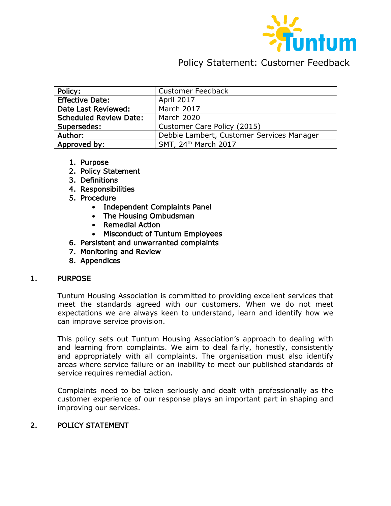

# Policy Statement: Customer Feedback

| <b>Policy:</b>                | <b>Customer Feedback</b>                  |
|-------------------------------|-------------------------------------------|
|                               |                                           |
| <b>Effective Date:</b>        | <b>April 2017</b>                         |
| Date Last Reviewed:           | <b>March 2017</b>                         |
| <b>Scheduled Review Date:</b> | <b>March 2020</b>                         |
| Supersedes:                   | Customer Care Policy (2015)               |
| Author:                       | Debbie Lambert, Customer Services Manager |
| Approved by:                  | SMT, 24 <sup>th</sup> March 2017          |

- 1. Purpose
- 2. Policy Statement
- 3. Definitions
- 4. Responsibilities
- 5. Procedure
	- Independent Complaints Panel
	- The Housing Ombudsman
	- Remedial Action
	- Misconduct of Tuntum Employees
- 6. Persistent and unwarranted complaints
- 7. Monitoring and Review
- 8. Appendices

#### 1. PURPOSE

Tuntum Housing Association is committed to providing excellent services that meet the standards agreed with our customers. When we do not meet expectations we are always keen to understand, learn and identify how we can improve service provision.

This policy sets out Tuntum Housing Association's approach to dealing with and learning from complaints. We aim to deal fairly, honestly, consistently and appropriately with all complaints. The organisation must also identify areas where service failure or an inability to meet our published standards of service requires remedial action.

Complaints need to be taken seriously and dealt with professionally as the customer experience of our response plays an important part in shaping and improving our services.

#### 2. POLICY STATEMENT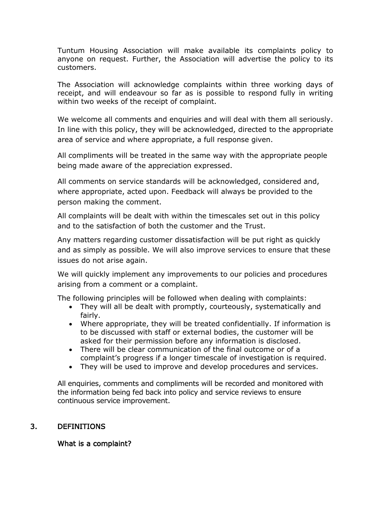Tuntum Housing Association will make available its complaints policy to anyone on request. Further, the Association will advertise the policy to its customers.

The Association will acknowledge complaints within three working days of receipt, and will endeavour so far as is possible to respond fully in writing within two weeks of the receipt of complaint.

We welcome all comments and enquiries and will deal with them all seriously. In line with this policy, they will be acknowledged, directed to the appropriate area of service and where appropriate, a full response given.

All compliments will be treated in the same way with the appropriate people being made aware of the appreciation expressed.

All comments on service standards will be acknowledged, considered and, where appropriate, acted upon. Feedback will always be provided to the person making the comment.

All complaints will be dealt with within the timescales set out in this policy and to the satisfaction of both the customer and the Trust.

Any matters regarding customer dissatisfaction will be put right as quickly and as simply as possible. We will also improve services to ensure that these issues do not arise again.

We will quickly implement any improvements to our policies and procedures arising from a comment or a complaint.

The following principles will be followed when dealing with complaints:

- They will all be dealt with promptly, courteously, systematically and fairly.
- Where appropriate, they will be treated confidentially. If information is to be discussed with staff or external bodies, the customer will be asked for their permission before any information is disclosed.
- There will be clear communication of the final outcome or of a complaint's progress if a longer timescale of investigation is required.
- They will be used to improve and develop procedures and services.

All enquiries, comments and compliments will be recorded and monitored with the information being fed back into policy and service reviews to ensure continuous service improvement.

# 3. DEFINITIONS

# What is a complaint?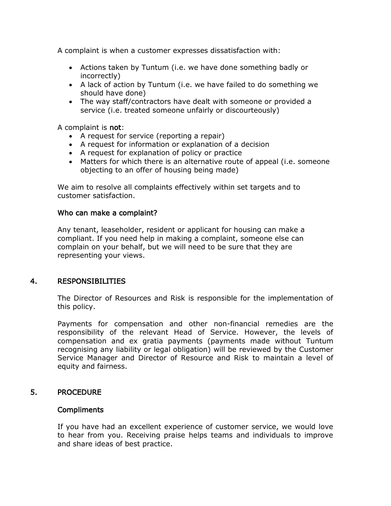A complaint is when a customer expresses dissatisfaction with:

- Actions taken by Tuntum (i.e. we have done something badly or incorrectly)
- A lack of action by Tuntum (i.e. we have failed to do something we should have done)
- The way staff/contractors have dealt with someone or provided a service (i.e. treated someone unfairly or discourteously)

A complaint is not:

- A request for service (reporting a repair)
- A request for information or explanation of a decision
- A request for explanation of policy or practice
- Matters for which there is an alternative route of appeal (i.e. someone objecting to an offer of housing being made)

We aim to resolve all complaints effectively within set targets and to customer satisfaction.

#### Who can make a complaint?

Any tenant, leaseholder, resident or applicant for housing can make a compliant. If you need help in making a complaint, someone else can complain on your behalf, but we will need to be sure that they are representing your views.

## 4. RESPONSIBILITIES

The Director of Resources and Risk is responsible for the implementation of this policy.

Payments for compensation and other non-financial remedies are the responsibility of the relevant Head of Service. However, the levels of compensation and ex gratia payments (payments made without Tuntum recognising any liability or legal obligation) will be reviewed by the Customer Service Manager and Director of Resource and Risk to maintain a level of equity and fairness.

## 5. PROCEDURE

#### Compliments

If you have had an excellent experience of customer service, we would love to hear from you. Receiving praise helps teams and individuals to improve and share ideas of best practice.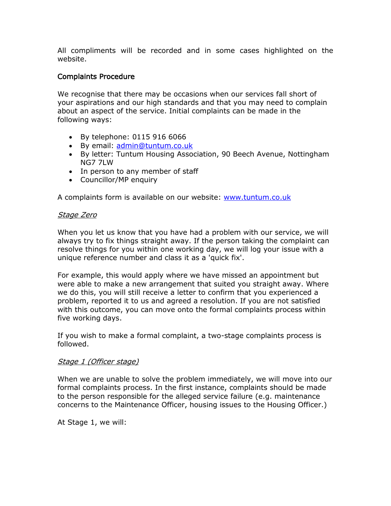All compliments will be recorded and in some cases highlighted on the website.

## Complaints Procedure

We recognise that there may be occasions when our services fall short of your aspirations and our high standards and that you may need to complain about an aspect of the service. Initial complaints can be made in the following ways:

- By telephone: 0115 916 6066
- By email: [admin@tuntum.co.uk](mailto:admin@tuntum.co.uk)
- By letter: Tuntum Housing Association, 90 Beech Avenue, Nottingham NG7 7LW
- In person to any member of staff
- Councillor/MP enquiry

A complaints form is available on our website: [www.tuntum.co.uk](http://www.tuntum.co.uk/)

#### Stage Zero

When you let us know that you have had a problem with our service, we will always try to fix things straight away. If the person taking the complaint can resolve things for you within one working day, we will log your issue with a unique reference number and class it as a 'quick fix'.

For example, this would apply where we have missed an appointment but were able to make a new arrangement that suited you straight away. Where we do this, you will still receive a letter to confirm that you experienced a problem, reported it to us and agreed a resolution. If you are not satisfied with this outcome, you can move onto the formal complaints process within five working days.

If you wish to make a formal complaint, a two-stage complaints process is followed.

#### Stage 1 (Officer stage)

When we are unable to solve the problem immediately, we will move into our formal complaints process. In the first instance, complaints should be made to the person responsible for the alleged service failure (e.g. maintenance concerns to the Maintenance Officer, housing issues to the Housing Officer.)

At Stage 1, we will: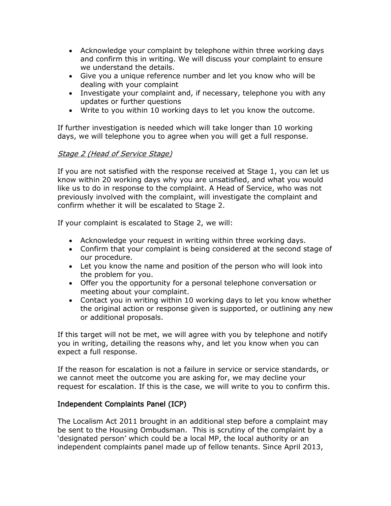- Acknowledge your complaint by telephone within three working days and confirm this in writing. We will discuss your complaint to ensure we understand the details.
- Give you a unique reference number and let you know who will be dealing with your complaint
- Investigate your complaint and, if necessary, telephone you with any updates or further questions
- Write to you within 10 working days to let you know the outcome.

If further investigation is needed which will take longer than 10 working days, we will telephone you to agree when you will get a full response.

# Stage 2 (Head of Service Stage)

If you are not satisfied with the response received at Stage 1, you can let us know within 20 working days why you are unsatisfied, and what you would like us to do in response to the complaint. A Head of Service, who was not previously involved with the complaint, will investigate the complaint and confirm whether it will be escalated to Stage 2.

If your complaint is escalated to Stage 2, we will:

- Acknowledge your request in writing within three working days.
- Confirm that your complaint is being considered at the second stage of our procedure.
- Let you know the name and position of the person who will look into the problem for you.
- Offer you the opportunity for a personal telephone conversation or meeting about your complaint.
- Contact you in writing within 10 working days to let you know whether the original action or response given is supported, or outlining any new or additional proposals.

If this target will not be met, we will agree with you by telephone and notify you in writing, detailing the reasons why, and let you know when you can expect a full response.

If the reason for escalation is not a failure in service or service standards, or we cannot meet the outcome you are asking for, we may decline your request for escalation. If this is the case, we will write to you to confirm this.

# Independent Complaints Panel (ICP)

The Localism Act 2011 brought in an additional step before a complaint may be sent to the Housing Ombudsman. This is scrutiny of the complaint by a 'designated person' which could be a local MP, the local authority or an independent complaints panel made up of fellow tenants. Since April 2013,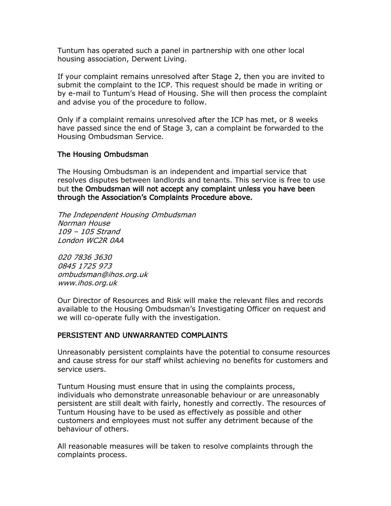Tuntum has operated such a panel in partnership with one other local housing association, Derwent Living.

If your complaint remains unresolved after Stage 2, then you are invited to submit the complaint to the ICP. This request should be made in writing or by e-mail to Tuntum's Head of Housing. She will then process the complaint and advise you of the procedure to follow.

Only if a complaint remains unresolved after the ICP has met, or 8 weeks have passed since the end of Stage 3, can a complaint be forwarded to the Housing Ombudsman Service.

## The Housing Ombudsman

The Housing Ombudsman is an independent and impartial service that resolves disputes between landlords and tenants. This service is free to use but the Ombudsman will not accept any complaint unless you have been through the Association's Complaints Procedure above.

The Independent Housing Ombudsman Norman House 109 – 105 Strand London WC2R 0AA

020 7836 3630 0845 1725 973 ombudsman@ihos.org.uk www.ihos.org.uk

Our Director of Resources and Risk will make the relevant files and records available to the Housing Ombudsman's Investigating Officer on request and we will co-operate fully with the investigation.

## PERSISTENT AND UNWARRANTED COMPLAINTS

Unreasonably persistent complaints have the potential to consume resources and cause stress for our staff whilst achieving no benefits for customers and service users.

Tuntum Housing must ensure that in using the complaints process, individuals who demonstrate unreasonable behaviour or are unreasonably persistent are still dealt with fairly, honestly and correctly. The resources of Tuntum Housing have to be used as effectively as possible and other customers and employees must not suffer any detriment because of the behaviour of others.

All reasonable measures will be taken to resolve complaints through the complaints process.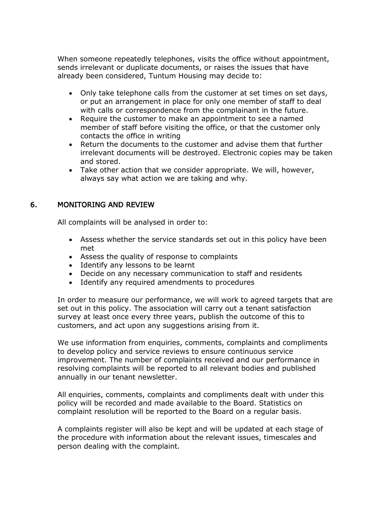When someone repeatedly telephones, visits the office without appointment, sends irrelevant or duplicate documents, or raises the issues that have already been considered, Tuntum Housing may decide to:

- Only take telephone calls from the customer at set times on set days, or put an arrangement in place for only one member of staff to deal with calls or correspondence from the complainant in the future.
- Require the customer to make an appointment to see a named member of staff before visiting the office, or that the customer only contacts the office in writing
- Return the documents to the customer and advise them that further irrelevant documents will be destroyed. Electronic copies may be taken and stored.
- Take other action that we consider appropriate. We will, however, always say what action we are taking and why.

# 6. MONITORING AND REVIEW

All complaints will be analysed in order to:

- Assess whether the service standards set out in this policy have been met
- Assess the quality of response to complaints
- Identify any lessons to be learnt
- Decide on any necessary communication to staff and residents
- Identify any required amendments to procedures

In order to measure our performance, we will work to agreed targets that are set out in this policy. The association will carry out a tenant satisfaction survey at least once every three years, publish the outcome of this to customers, and act upon any suggestions arising from it.

We use information from enquiries, comments, complaints and compliments to develop policy and service reviews to ensure continuous service improvement. The number of complaints received and our performance in resolving complaints will be reported to all relevant bodies and published annually in our tenant newsletter.

All enquiries, comments, complaints and compliments dealt with under this policy will be recorded and made available to the Board. Statistics on complaint resolution will be reported to the Board on a regular basis.

A complaints register will also be kept and will be updated at each stage of the procedure with information about the relevant issues, timescales and person dealing with the complaint.